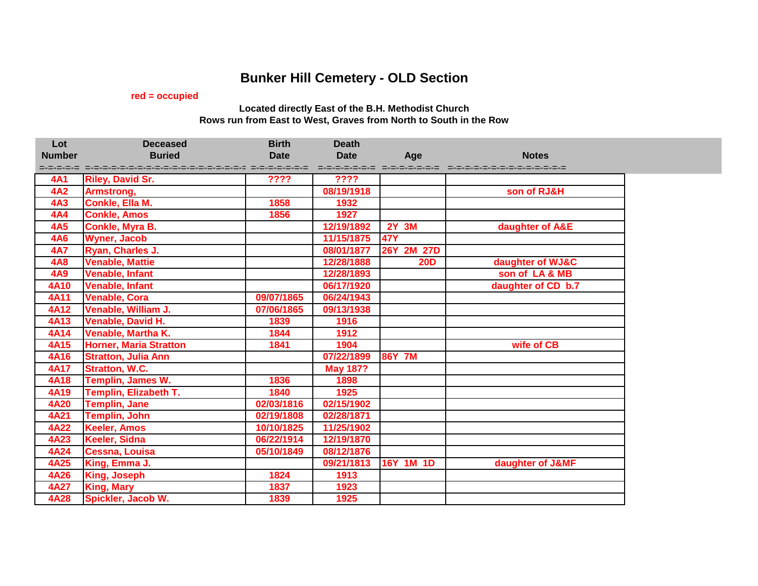## **Bunker Hill Cemetery - OLD Section**

## **red = occupied**

## **Located directly East of the B.H. Methodist Church Rows run from East to West, Graves from North to South in the Row**

| Lot           | <b>Deceased</b>               | <b>Birth</b> | <b>Death</b>    |                               |                            |
|---------------|-------------------------------|--------------|-----------------|-------------------------------|----------------------------|
| <b>Number</b> | <b>Buried</b>                 | <b>Date</b>  | <b>Date</b>     | Age                           | <b>Notes</b>               |
|               |                               |              |                 | d-d-d-d-d-d-d-d-d-d-d-d-d-d-d | =-=-=-=-=-=-=-=-=-=-=-=-=- |
| <b>4A1</b>    | <b>Riley, David Sr.</b>       | ????         | ????            |                               |                            |
| <b>4A2</b>    | Armstrong,                    |              | 08/19/1918      |                               | son of RJ&H                |
| 4A3           | Conkle, Ella M.               | 1858         | 1932            |                               |                            |
| <b>4A4</b>    | <b>Conkle, Amos</b>           | 1856         | 1927            |                               |                            |
| <b>4A5</b>    | Conkle, Myra B.               |              | 12/19/1892      | <b>2Y 3M</b>                  | daughter of A&E            |
| <b>4A6</b>    | <b>Wyner, Jacob</b>           |              | 11/15/1875      | <b>47Y</b>                    |                            |
| <b>4A7</b>    | Ryan, Charles J.              |              | 08/01/1877      | 26Y 2M 27D                    |                            |
| <b>4A8</b>    | <b>Venable, Mattie</b>        |              | 12/28/1888      | <b>20D</b>                    | daughter of WJ&C           |
| <b>4A9</b>    | <b>Venable, Infant</b>        |              | 12/28/1893      |                               | son of LA & MB             |
| <b>4A10</b>   | <b>Venable, Infant</b>        |              | 06/17/1920      |                               | daughter of CD b.7         |
| <b>4A11</b>   | <b>Venable, Cora</b>          | 09/07/1865   | 06/24/1943      |                               |                            |
| <b>4A12</b>   | Venable, William J.           | 07/06/1865   | 09/13/1938      |                               |                            |
| <b>4A13</b>   | Venable, David H.             | 1839         | 1916            |                               |                            |
| <b>4A14</b>   | Venable, Martha K.            | 1844         | 1912            |                               |                            |
| 4A15          | <b>Horner, Maria Stratton</b> | 1841         | 1904            |                               | wife of CB                 |
| <b>4A16</b>   | <b>Stratton, Julia Ann</b>    |              | 07/22/1899      | <b>86Y 7M</b>                 |                            |
| <b>4A17</b>   | <b>Stratton, W.C.</b>         |              | <b>May 187?</b> |                               |                            |
| <b>4A18</b>   | Templin, James W.             | 1836         | 1898            |                               |                            |
| <b>4A19</b>   | Templin, Elizabeth T.         | 1840         | 1925            |                               |                            |
| <b>4A20</b>   | <b>Templin, Jane</b>          | 02/03/1816   | 02/15/1902      |                               |                            |
| <b>4A21</b>   | <b>Templin, John</b>          | 02/19/1808   | 02/28/1871      |                               |                            |
| 4A22          | <b>Keeler, Amos</b>           | 10/10/1825   | 11/25/1902      |                               |                            |
| 4A23          | Keeler, Sidna                 | 06/22/1914   | 12/19/1870      |                               |                            |
| 4A24          | <b>Cessna, Louisa</b>         | 05/10/1849   | 08/12/1876      |                               |                            |
| 4A25          | King, Emma J.                 |              | 09/21/1813      | 16Y 1M 1D                     | daughter of J&MF           |
| 4A26          | King, Joseph                  | 1824         | 1913            |                               |                            |
| 4A27          | King, Mary                    | 1837         | 1923            |                               |                            |
| 4A28          | Spickler, Jacob W.            | 1839         | 1925            |                               |                            |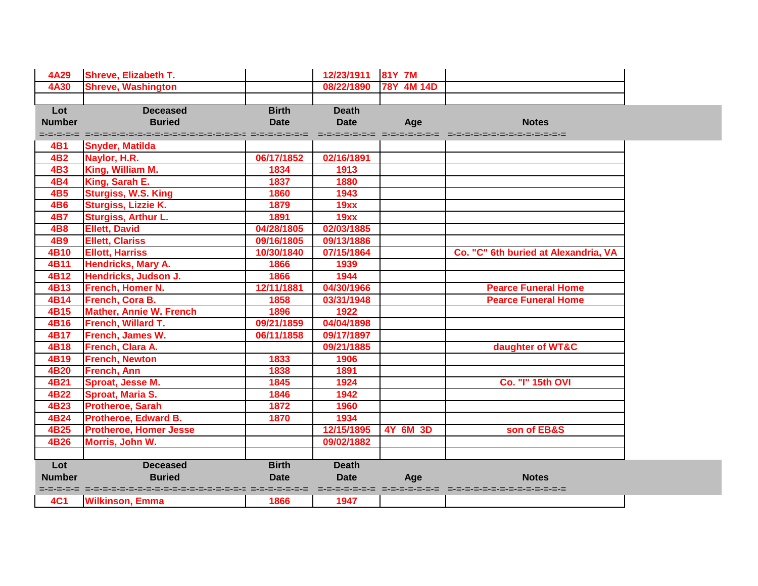| 4A29          | <b>Shreve, Elizabeth T.</b>                                    |              | 12/23/1911   | 81Y 7M          |                                      |
|---------------|----------------------------------------------------------------|--------------|--------------|-----------------|--------------------------------------|
| <b>4A30</b>   | <b>Shreve, Washington</b>                                      |              | 08/22/1890   | 78Y 4M 14D      |                                      |
|               |                                                                |              |              |                 |                                      |
| Lot           | <b>Deceased</b>                                                | <b>Birth</b> | <b>Death</b> |                 |                                      |
| <b>Number</b> | <b>Buried</b>                                                  | <b>Date</b>  | <b>Date</b>  | Age             | <b>Notes</b>                         |
|               | strategi strategistrategistrategistrategistrategi strategistra |              |              |                 |                                      |
| 4 <b>B1</b>   | <b>Snyder, Matilda</b>                                         |              |              |                 |                                      |
| 4 <b>B2</b>   | Naylor, H.R.                                                   | 06/17/1852   | 02/16/1891   |                 |                                      |
| 4B3           | King, William M.                                               | 1834         | 1913         |                 |                                      |
| <b>4B4</b>    | King, Sarah E.                                                 | 1837         | 1880         |                 |                                      |
| <b>4B5</b>    | <b>Sturgiss, W.S. King</b>                                     | 1860         | 1943         |                 |                                      |
| <b>4B6</b>    | Sturgiss, Lizzie K.                                            | 1879         | 19xx         |                 |                                      |
| <b>4B7</b>    | Sturgiss, Arthur L.                                            | 1891         | 19xx         |                 |                                      |
| <b>4B8</b>    | <b>Ellett, David</b>                                           | 04/28/1805   | 02/03/1885   |                 |                                      |
| <b>4B9</b>    | <b>Ellett, Clariss</b>                                         | 09/16/1805   | 09/13/1886   |                 |                                      |
| 4B10          | <b>Ellott, Harriss</b>                                         | 10/30/1840   | 07/15/1864   |                 | Co. "C" 6th buried at Alexandria, VA |
| 4B11          | <b>Hendricks, Mary A.</b>                                      | 1866         | 1939         |                 |                                      |
| 4B12          | Hendricks, Judson J.                                           | 1866         | 1944         |                 |                                      |
| 4B13          | <b>French, Homer N.</b>                                        | 12/11/1881   | 04/30/1966   |                 | <b>Pearce Funeral Home</b>           |
| 4B14          | French, Cora B.                                                | 1858         | 03/31/1948   |                 | <b>Pearce Funeral Home</b>           |
| 4B15          | <b>Mather, Annie W. French</b>                                 | 1896         | 1922         |                 |                                      |
| 4B16          | French, Willard T.                                             | 09/21/1859   | 04/04/1898   |                 |                                      |
| 4B17          | French, James W.                                               | 06/11/1858   | 09/17/1897   |                 |                                      |
| 4B18          | French, Clara A.                                               |              | 09/21/1885   |                 | daughter of WT&C                     |
| 4B19          | <b>French, Newton</b>                                          | 1833         | 1906         |                 |                                      |
| 4B20          | <b>French, Ann</b>                                             | 1838         | 1891         |                 |                                      |
| 4B21          | Sproat, Jesse M.                                               | 1845         | 1924         |                 | <b>Co. "I" 15th OVI</b>              |
| 4B22          | <b>Sproat, Maria S.</b>                                        | 1846         | 1942         |                 |                                      |
| 4B23          | <b>Protheroe, Sarah</b>                                        | 1872         | 1960         |                 |                                      |
| 4B24          | <b>Protheroe, Edward B.</b>                                    | 1870         | 1934         |                 |                                      |
| 4B25          | <b>Protheroe, Homer Jesse</b>                                  |              | 12/15/1895   | <b>4Y 6M 3D</b> | son of EB&S                          |
| 4B26          | Morris, John W.                                                |              | 09/02/1882   |                 |                                      |
|               |                                                                |              |              |                 |                                      |
| Lot           | <b>Deceased</b>                                                | <b>Birth</b> | <b>Death</b> |                 |                                      |
| <b>Number</b> | <b>Buried</b>                                                  | <b>Date</b>  | <b>Date</b>  | Age             | <b>Notes</b>                         |
|               | deserte des services de services de services de                |              |              |                 | -------------------------            |
| <b>4C1</b>    | <b>Wilkinson, Emma</b>                                         | 1866         | 1947         |                 |                                      |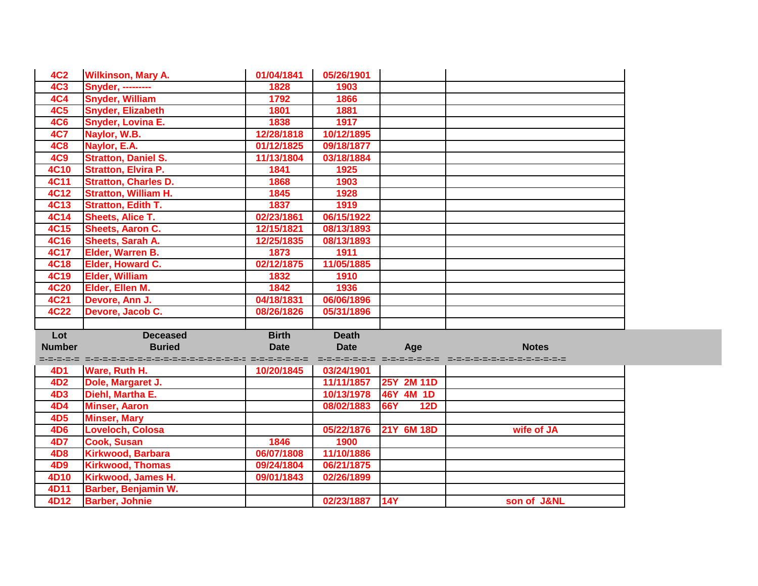| <b>4C2</b>    | <b>Wilkinson, Mary A.</b>                                      | 01/04/1841   | 05/26/1901   |                   |              |
|---------------|----------------------------------------------------------------|--------------|--------------|-------------------|--------------|
| <b>4C3</b>    | <b>Snyder, ---------</b>                                       | 1828         | 1903         |                   |              |
| <b>4C4</b>    | <b>Snyder, William</b>                                         | 1792         | 1866         |                   |              |
| <b>4C5</b>    | <b>Snyder, Elizabeth</b>                                       | 1801         | 1881         |                   |              |
| <b>4C6</b>    | <b>Snyder, Lovina E.</b>                                       | 1838         | 1917         |                   |              |
| <b>4C7</b>    | Naylor, W.B.                                                   | 12/28/1818   | 10/12/1895   |                   |              |
| <b>4C8</b>    | Naylor, E.A.                                                   | 01/12/1825   | 09/18/1877   |                   |              |
| <b>4C9</b>    | <b>Stratton, Daniel S.</b>                                     | 11/13/1804   | 03/18/1884   |                   |              |
| <b>4C10</b>   | <b>Stratton, Elvira P.</b>                                     | 1841         | 1925         |                   |              |
| <b>4C11</b>   | <b>Stratton, Charles D.</b>                                    | 1868         | 1903         |                   |              |
| 4C12          | <b>Stratton, William H.</b>                                    | 1845         | 1928         |                   |              |
| <b>4C13</b>   | <b>Stratton, Edith T.</b>                                      | 1837         | 1919         |                   |              |
| <b>4C14</b>   | <b>Sheets, Alice T.</b>                                        | 02/23/1861   | 06/15/1922   |                   |              |
| <b>4C15</b>   | <b>Sheets, Aaron C.</b>                                        | 12/15/1821   | 08/13/1893   |                   |              |
| <b>4C16</b>   | Sheets, Sarah A.                                               | 12/25/1835   | 08/13/1893   |                   |              |
| <b>4C17</b>   | Elder, Warren B.                                               | 1873         | 1911         |                   |              |
| <b>4C18</b>   | Elder, Howard C.                                               | 02/12/1875   | 11/05/1885   |                   |              |
| <b>4C19</b>   | <b>Elder, William</b>                                          | 1832         | 1910         |                   |              |
| <b>4C20</b>   | Elder, Ellen M.                                                | 1842         | 1936         |                   |              |
| <b>4C21</b>   | Devore, Ann J.                                                 | 04/18/1831   | 06/06/1896   |                   |              |
| <b>4C22</b>   | Devore, Jacob C.                                               | 08/26/1826   | 05/31/1896   |                   |              |
|               |                                                                |              |              |                   |              |
| Lot           | <b>Deceased</b>                                                | <b>Birth</b> | <b>Death</b> |                   |              |
| <b>Number</b> | <b>Buried</b>                                                  | <b>Date</b>  | <b>Date</b>  | Age               | <b>Notes</b> |
|               | strategi strategistrategistrategistrategistrategi strategistra |              |              |                   |              |
| 4D1           | Ware, Ruth H.                                                  | 10/20/1845   | 03/24/1901   |                   |              |
| 4D2           | Dole, Margaret J.                                              |              | 11/11/1857   | 25Y 2M 11D        |              |
| <b>4D3</b>    | Diehl, Martha E.                                               |              | 10/13/1978   | 46Y 4M 1D         |              |
| 4D4           | <b>Minser, Aaron</b>                                           |              | 08/02/1883   | 66Y<br><b>12D</b> |              |
| <b>4D5</b>    | <b>Minser, Mary</b>                                            |              |              |                   |              |
| <b>4D6</b>    | <b>Loveloch, Colosa</b>                                        |              | 05/22/1876   | 21Y 6M 18D        | wife of JA   |
| 4D7           | Cook, Susan                                                    | 1846         | 1900         |                   |              |
| <b>4D8</b>    | Kirkwood, Barbara                                              | 06/07/1808   | 11/10/1886   |                   |              |
| 4D9           | <b>Kirkwood, Thomas</b>                                        | 09/24/1804   | 06/21/1875   |                   |              |
| 4D10          | Kirkwood, James H.                                             | 09/01/1843   | 02/26/1899   |                   |              |
| 4D11          | Barber, Benjamin W.                                            |              |              |                   |              |
| 4D12          | <b>Barber, Johnie</b>                                          |              | 02/23/1887   | 14Y               | son of J&NL  |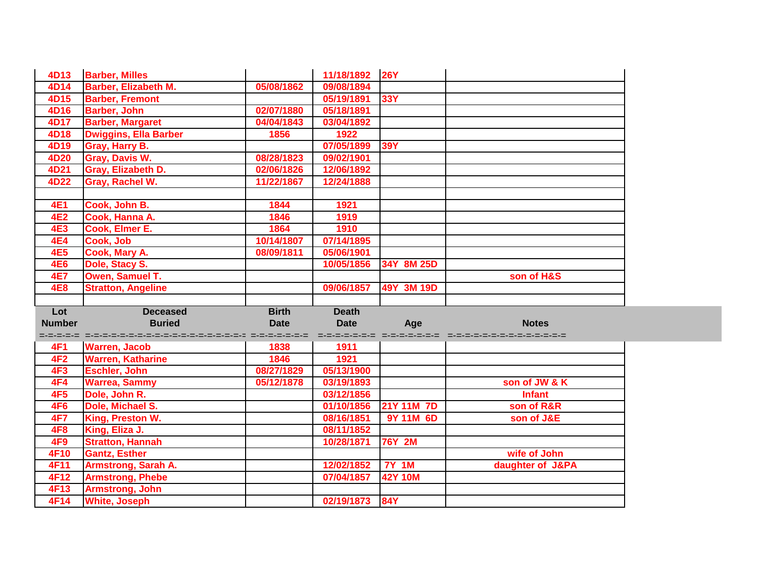| 4D13          | <b>Barber, Milles</b>                               |              | 11/18/1892   | <b>26Y</b>     |                                                      |
|---------------|-----------------------------------------------------|--------------|--------------|----------------|------------------------------------------------------|
| 4D14          | <b>Barber, Elizabeth M.</b>                         | 05/08/1862   | 09/08/1894   |                |                                                      |
| 4D15          | <b>Barber, Fremont</b>                              |              | 05/19/1891   | 33Y            |                                                      |
| 4D16          | <b>Barber, John</b>                                 | 02/07/1880   | 05/18/1891   |                |                                                      |
| 4D17          | <b>Barber, Margaret</b>                             | 04/04/1843   | 03/04/1892   |                |                                                      |
| 4D18          | <b>Dwiggins, Ella Barber</b>                        | 1856         | 1922         |                |                                                      |
| 4D19          | Gray, Harry B.                                      |              | 07/05/1899   | <b>39Y</b>     |                                                      |
| 4D20          | Gray, Davis W.                                      | 08/28/1823   | 09/02/1901   |                |                                                      |
| 4D21          | Gray, Elizabeth D.                                  | 02/06/1826   | 12/06/1892   |                |                                                      |
| 4D22          | <b>Gray, Rachel W.</b>                              | 11/22/1867   | 12/24/1888   |                |                                                      |
|               |                                                     |              |              |                |                                                      |
| <b>4E1</b>    | Cook, John B.                                       | 1844         | 1921         |                |                                                      |
| <b>4E2</b>    | Cook, Hanna A.                                      | 1846         | 1919         |                |                                                      |
| <b>4E3</b>    | Cook, Elmer E.                                      | 1864         | 1910         |                |                                                      |
| <b>4E4</b>    | Cook, Job                                           | 10/14/1807   | 07/14/1895   |                |                                                      |
| <b>4E5</b>    | Cook, Mary A.                                       | 08/09/1811   | 05/06/1901   |                |                                                      |
| <b>4E6</b>    | Dole, Stacy S.                                      |              | 10/05/1856   | 34Y 8M 25D     |                                                      |
| <b>4E7</b>    | Owen, Samuel T.                                     |              |              |                | son of H&S                                           |
|               |                                                     |              |              |                |                                                      |
| <b>4E8</b>    | <b>Stratton, Angeline</b>                           |              | 09/06/1857   | 49Y 3M 19D     |                                                      |
|               |                                                     |              |              |                |                                                      |
| Lot           | <b>Deceased</b>                                     | <b>Birth</b> | <b>Death</b> |                |                                                      |
| <b>Number</b> | <b>Buried</b>                                       | <b>Date</b>  | <b>Date</b>  | Age            | <b>Notes</b>                                         |
|               | stelen i stelen kontroler i stelen i stelen i stele |              |              |                | distribution distribution consideration distribution |
| 4F1           | <b>Warren, Jacob</b>                                | 1838         | 1911         |                |                                                      |
| 4F2           | <b>Warren, Katharine</b>                            | 1846         | 1921         |                |                                                      |
| <b>4F3</b>    | <b>Eschler, John</b>                                | 08/27/1829   | 05/13/1900   |                |                                                      |
| 4F4           | <b>Warrea, Sammy</b>                                | 05/12/1878   | 03/19/1893   |                | son of JW & K                                        |
| 4F5           | Dole, John R.                                       |              | 03/12/1856   |                | <b>Infant</b>                                        |
| <b>4F6</b>    | Dole, Michael S.                                    |              | 01/10/1856   | 21Y 11M 7D     | son of R&R                                           |
| <b>4F7</b>    | King, Preston W.                                    |              | 08/16/1851   | 9Y 11M 6D      | son of J&E                                           |
| 4F8           | King, Eliza J.                                      |              | 08/11/1852   |                |                                                      |
| 4F9           | <b>Stratton, Hannah</b>                             |              | 10/28/1871   | <b>76Y 2M</b>  |                                                      |
| 4F10          | <b>Gantz, Esther</b>                                |              |              |                | wife of John                                         |
| 4F11          | <b>Armstrong, Sarah A.</b>                          |              | 12/02/1852   | <b>7Y 1M</b>   | daughter of J&PA                                     |
| 4F12          | <b>Armstrong, Phebe</b>                             |              | 07/04/1857   | <b>42Y 10M</b> |                                                      |
| 4F13          | <b>Armstrong, John</b>                              |              |              |                |                                                      |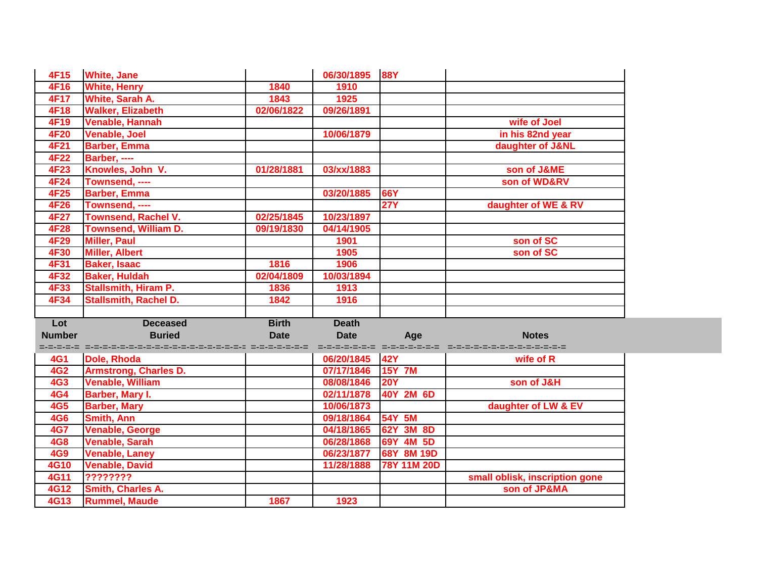| <b>White, Jane</b>                   |                                                                                                                                   |                                                                      |                                                                    |                                                                                                                                                        |
|--------------------------------------|-----------------------------------------------------------------------------------------------------------------------------------|----------------------------------------------------------------------|--------------------------------------------------------------------|--------------------------------------------------------------------------------------------------------------------------------------------------------|
| <b>White, Henry</b>                  | 1840                                                                                                                              | 1910                                                                 |                                                                    |                                                                                                                                                        |
| White, Sarah A.                      | 1843                                                                                                                              | 1925                                                                 |                                                                    |                                                                                                                                                        |
| <b>Walker, Elizabeth</b>             | 02/06/1822                                                                                                                        | 09/26/1891                                                           |                                                                    |                                                                                                                                                        |
| <b>Venable, Hannah</b>               |                                                                                                                                   |                                                                      |                                                                    | wife of Joel                                                                                                                                           |
| <b>Venable, Joel</b>                 |                                                                                                                                   | 10/06/1879                                                           |                                                                    | in his 82nd year                                                                                                                                       |
| <b>Barber, Emma</b>                  |                                                                                                                                   |                                                                      |                                                                    | daughter of J&NL                                                                                                                                       |
| Barber, ----                         |                                                                                                                                   |                                                                      |                                                                    |                                                                                                                                                        |
| Knowles, John V.                     | 01/28/1881                                                                                                                        | 03/xx/1883                                                           |                                                                    | son of J&ME                                                                                                                                            |
| Townsend, ----                       |                                                                                                                                   |                                                                      |                                                                    | son of WD&RV                                                                                                                                           |
| <b>Barber, Emma</b>                  |                                                                                                                                   | 03/20/1885                                                           | 66Y                                                                |                                                                                                                                                        |
| Townsend, ----                       |                                                                                                                                   |                                                                      | $\overline{27Y}$                                                   | daughter of WE & RV                                                                                                                                    |
| <b>Townsend, Rachel V.</b>           | 02/25/1845                                                                                                                        | 10/23/1897                                                           |                                                                    |                                                                                                                                                        |
| <b>Townsend, William D.</b>          | 09/19/1830                                                                                                                        | 04/14/1905                                                           |                                                                    |                                                                                                                                                        |
| <b>Miller, Paul</b>                  |                                                                                                                                   | 1901                                                                 |                                                                    | son of SC                                                                                                                                              |
| <b>Miller, Albert</b>                |                                                                                                                                   | 1905                                                                 |                                                                    | son of SC                                                                                                                                              |
| <b>Baker, Isaac</b>                  | 1816                                                                                                                              | 1906                                                                 |                                                                    |                                                                                                                                                        |
| <b>Baker, Huldah</b>                 | 02/04/1809                                                                                                                        | 10/03/1894                                                           |                                                                    |                                                                                                                                                        |
| <b>Stallsmith, Hiram P.</b>          | 1836                                                                                                                              | 1913                                                                 |                                                                    |                                                                                                                                                        |
| <b>Stallsmith, Rachel D.</b>         | 1842                                                                                                                              | 1916                                                                 |                                                                    |                                                                                                                                                        |
|                                      |                                                                                                                                   |                                                                      |                                                                    |                                                                                                                                                        |
| <b>Deceased</b>                      | <b>Birth</b>                                                                                                                      | <b>Death</b>                                                         |                                                                    |                                                                                                                                                        |
|                                      | <b>Date</b>                                                                                                                       | <b>Date</b>                                                          | Age                                                                | <b>Notes</b>                                                                                                                                           |
|                                      |                                                                                                                                   |                                                                      |                                                                    | wife of R                                                                                                                                              |
|                                      |                                                                                                                                   |                                                                      |                                                                    |                                                                                                                                                        |
|                                      |                                                                                                                                   |                                                                      |                                                                    | son of J&H                                                                                                                                             |
|                                      |                                                                                                                                   |                                                                      |                                                                    |                                                                                                                                                        |
|                                      |                                                                                                                                   |                                                                      |                                                                    | daughter of LW & EV                                                                                                                                    |
|                                      |                                                                                                                                   |                                                                      |                                                                    |                                                                                                                                                        |
|                                      |                                                                                                                                   |                                                                      |                                                                    |                                                                                                                                                        |
|                                      |                                                                                                                                   |                                                                      |                                                                    |                                                                                                                                                        |
| Venable, George                      |                                                                                                                                   | 04/18/1865                                                           | 62Y 3M 8D                                                          |                                                                                                                                                        |
| <b>Venable, Sarah</b>                |                                                                                                                                   | 06/28/1868                                                           | 69Y 4M 5D                                                          |                                                                                                                                                        |
| Venable, Laney                       |                                                                                                                                   | 06/23/1877                                                           | 68Y 8M 19D                                                         |                                                                                                                                                        |
| <b>Venable, David</b>                |                                                                                                                                   | 11/28/1888                                                           | 78Y 11M 20D                                                        |                                                                                                                                                        |
| ????????<br><b>Smith, Charles A.</b> |                                                                                                                                   |                                                                      |                                                                    | small oblisk, inscription gone<br>son of JP&MA                                                                                                         |
|                                      | <b>Buried</b><br>Dole, Rhoda<br><b>Armstrong, Charles D.</b><br><b>Venable, William</b><br>Barber, Mary I.<br><b>Barber, Mary</b> | strator i stratoritator transportation di stratoritati di stratorita | 06/20/1845<br>07/17/1846<br>08/08/1846<br>02/11/1878<br>10/06/1873 | 06/30/1895 88Y<br>sprediction constructs constructions<br><b>42Y</b><br><b>15Y 7M</b><br><b>20Y</b><br>40Y 2M 6D<br>54Y 5M<br>09/18/1864<br>Smith, Ann |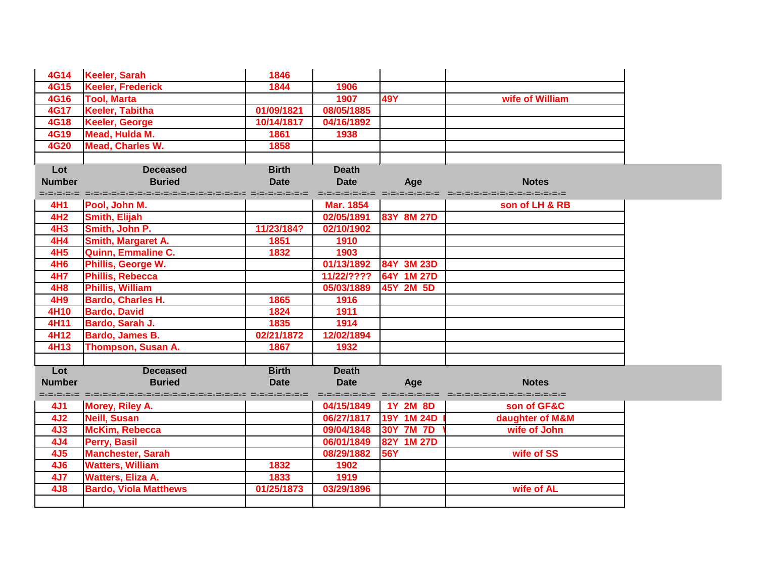| 4G14            | <b>Keeler, Sarah</b>                                                        | 1846         |                  |                 |                                                              |
|-----------------|-----------------------------------------------------------------------------|--------------|------------------|-----------------|--------------------------------------------------------------|
| <b>4G15</b>     | <b>Keeler, Frederick</b>                                                    | 1844         | 1906             |                 |                                                              |
| <b>4G16</b>     | <b>Tool, Marta</b>                                                          |              | 1907             | <b>49Y</b>      | wife of William                                              |
| <b>4G17</b>     | <b>Keeler, Tabitha</b>                                                      | 01/09/1821   | 08/05/1885       |                 |                                                              |
| <b>4G18</b>     | <b>Keeler, George</b>                                                       | 10/14/1817   | 04/16/1892       |                 |                                                              |
| 4G19            | Mead, Hulda M.                                                              | 1861         | 1938             |                 |                                                              |
| <b>4G20</b>     | <b>Mead, Charles W.</b>                                                     | 1858         |                  |                 |                                                              |
|                 |                                                                             |              |                  |                 |                                                              |
| Lot             | <b>Deceased</b>                                                             | <b>Birth</b> | <b>Death</b>     |                 |                                                              |
| <b>Number</b>   | <b>Buried</b>                                                               | <b>Date</b>  | <b>Date</b>      | Age             | <b>Notes</b>                                                 |
|                 | didioend diese beschaar die selfstelle die selfstelle die selfstelle die    |              |                  |                 | skolokokoko skolokokoko siduolokokokokokokokokoko            |
| 4H1             | Pool, John M.                                                               |              | <b>Mar. 1854</b> |                 | son of LH & RB                                               |
| <b>4H2</b>      | Smith, Elijah                                                               |              | 02/05/1891       | 83Y 8M 27D      |                                                              |
| <b>4H3</b>      | Smith, John P.                                                              | 11/23/184?   | 02/10/1902       |                 |                                                              |
| <b>4H4</b>      | Smith, Margaret A.                                                          | 1851         | 1910             |                 |                                                              |
| 4H5             | Quinn, Emmaline C.                                                          | 1832         | 1903             |                 |                                                              |
| 4H6             | Phillis, George W.                                                          |              | 01/13/1892       | 84Y 3M 23D      |                                                              |
| 4H7             | <b>Phillis, Rebecca</b>                                                     |              | 11/22/????       | 64Y 1M 27D      |                                                              |
| <b>4H8</b>      | <b>Phillis, William</b>                                                     |              | 05/03/1889       | 45Y 2M 5D       |                                                              |
| 4H9             | <b>Bardo, Charles H.</b>                                                    | 1865         | 1916             |                 |                                                              |
| 4H10            | <b>Bardo, David</b>                                                         | 1824         | 1911             |                 |                                                              |
| 4H11            | Bardo, Sarah J.                                                             | 1835         | 1914             |                 |                                                              |
| 4H12            | <b>Bardo, James B.</b>                                                      | 02/21/1872   | 12/02/1894       |                 |                                                              |
| 4H13            | <b>Thompson, Susan A.</b>                                                   | 1867         | 1932             |                 |                                                              |
|                 |                                                                             |              |                  |                 |                                                              |
| Lot             | <b>Deceased</b>                                                             | <b>Birth</b> | <b>Death</b>     |                 |                                                              |
| <b>Number</b>   | <b>Buried</b>                                                               | <b>Date</b>  | <b>Date</b>      | Age             | <b>Notes</b>                                                 |
|                 | didioend diese beschaar en die selfstelle die selfstelle die selfstelle die |              |                  |                 | distribution di distribution di distribution di distribution |
| 4J1             | Morey, Riley A.                                                             |              | 04/15/1849       | <b>1Y 2M 8D</b> | son of GF&C                                                  |
| 4J <sub>2</sub> | <b>Neill, Susan</b>                                                         |              | 06/27/1817       | 19Y 1M 24D      | daughter of M&M                                              |
| 4J <sub>3</sub> | <b>McKim, Rebecca</b>                                                       |              | 09/04/1848       | 30Y 7M 7D       | wife of John                                                 |
| 4J4             | Perry, Basil                                                                |              | 06/01/1849       | 82Y 1M 27D      |                                                              |
| 4J5             | <b>Manchester, Sarah</b>                                                    |              | 08/29/1882       | <b>56Y</b>      | wife of SS                                                   |
| <b>4J6</b>      | <b>Watters, William</b>                                                     | 1832         | 1902             |                 |                                                              |
| 4J7             | <b>Watters, Eliza A.</b>                                                    | 1833         | 1919             |                 |                                                              |
| 4J8             | <b>Bardo, Viola Matthews</b>                                                | 01/25/1873   | 03/29/1896       |                 | wife of AL                                                   |
|                 |                                                                             |              |                  |                 |                                                              |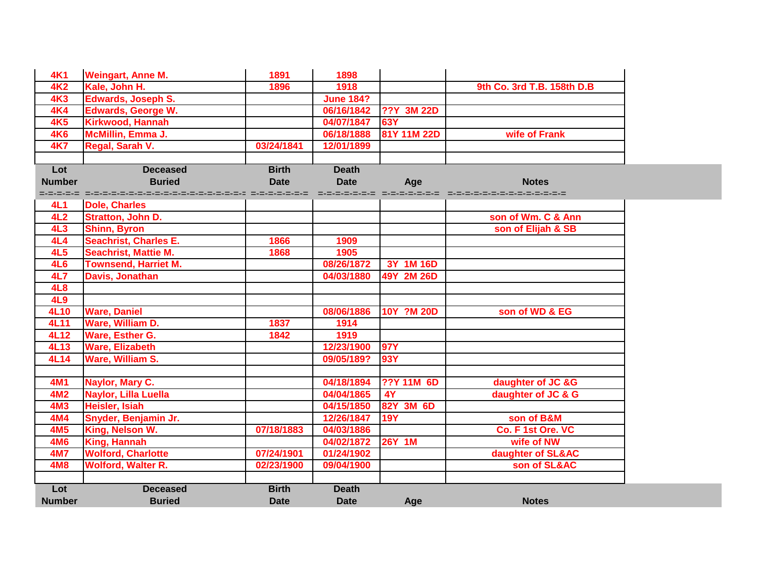| <b>4K1</b>      | <b>Weingart, Anne M.</b>                                         | 1891         | 1898             |                   |                            |
|-----------------|------------------------------------------------------------------|--------------|------------------|-------------------|----------------------------|
| <b>4K2</b>      | Kale, John H.                                                    | 1896         | 1918             |                   | 9th Co. 3rd T.B. 158th D.B |
| <b>4K3</b>      | <b>Edwards, Joseph S.</b>                                        |              | <b>June 184?</b> |                   |                            |
| <b>4K4</b>      | <b>Edwards, George W.</b>                                        |              | 06/16/1842       | <b>??Y 3M 22D</b> |                            |
| 4K5             | <b>Kirkwood, Hannah</b>                                          |              | 04/07/1847       | 63Y               |                            |
| <b>4K6</b>      | McMillin, Emma J.                                                |              | 06/18/1888       | 81Y 11M 22D       | wife of Frank              |
| <b>4K7</b>      | Regal, Sarah V.                                                  | 03/24/1841   | 12/01/1899       |                   |                            |
|                 |                                                                  |              |                  |                   |                            |
| Lot             | <b>Deceased</b>                                                  | <b>Birth</b> | <b>Death</b>     |                   |                            |
| <b>Number</b>   | <b>Buried</b>                                                    | <b>Date</b>  | <b>Date</b>      | Age               | <b>Notes</b>               |
|                 | didioend die bedroepde bedroepde bedroepde bedroepde bedroepde b |              |                  |                   |                            |
| <b>4L1</b>      | <b>Dole, Charles</b>                                             |              |                  |                   |                            |
| 4L2             | <b>Stratton, John D.</b>                                         |              |                  |                   | son of Wm. C & Ann         |
| 4L3             | <b>Shinn, Byron</b>                                              |              |                  |                   | son of Elijah & SB         |
| 4L4             | <b>Seachrist, Charles E.</b>                                     | 1866         | 1909             |                   |                            |
| 4L5             | <b>Seachrist, Mattie M.</b>                                      | 1868         | 1905             |                   |                            |
| <b>4L6</b>      | <b>Townsend, Harriet M.</b>                                      |              | 08/26/1872       | 3Y 1M 16D         |                            |
| <b>4L7</b>      | Davis, Jonathan                                                  |              | 04/03/1880       | 49Y 2M 26D        |                            |
| <b>4L8</b>      |                                                                  |              |                  |                   |                            |
| 4L9             |                                                                  |              |                  |                   |                            |
| 4L10            | <b>Ware, Daniel</b>                                              |              | 08/06/1886       | 10Y ?M 20D        | son of WD & EG             |
| 4L11            | Ware, William D.                                                 | 1837         | 1914             |                   |                            |
| 4L12            | Ware, Esther G.                                                  | 1842         | 1919             |                   |                            |
| 4L13            | <b>Ware, Elizabeth</b>                                           |              | 12/23/1900       | <b>97Y</b>        |                            |
| 4L14            | Ware, William S.                                                 |              | 09/05/189?       | <b>93Y</b>        |                            |
|                 |                                                                  |              |                  |                   |                            |
| <b>4M1</b>      | Naylor, Mary C.                                                  |              | 04/18/1894       | <b>??Y 11M 6D</b> | daughter of JC &G          |
| 4M <sub>2</sub> | Naylor, Lilla Luella                                             |              | 04/04/1865       | 4Y                | daughter of JC & G         |
| <b>4M3</b>      | <b>Heisler, Isiah</b>                                            |              | 04/15/1850       | 82Y 3M 6D         |                            |
| <b>4M4</b>      | Snyder, Benjamin Jr.                                             |              | 12/26/1847       | <b>19Y</b>        | son of B&M                 |
| 4M5             | King, Nelson W.                                                  | 07/18/1883   | 04/03/1886       |                   | Co. F 1st Ore. VC          |
| <b>4M6</b>      | King, Hannah                                                     |              | 04/02/1872       | <b>26Y 1M</b>     | wife of NW                 |
| <b>4M7</b>      | <b>Wolford, Charlotte</b>                                        | 07/24/1901   | 01/24/1902       |                   | daughter of SL&AC          |
| <b>4M8</b>      | <b>Wolford, Walter R.</b>                                        | 02/23/1900   | 09/04/1900       |                   | son of SL&AC               |
|                 |                                                                  |              |                  |                   |                            |
| Lot             | <b>Deceased</b>                                                  | <b>Birth</b> | <b>Death</b>     |                   |                            |
| <b>Number</b>   | <b>Buried</b>                                                    | <b>Date</b>  | <b>Date</b>      | Age               | <b>Notes</b>               |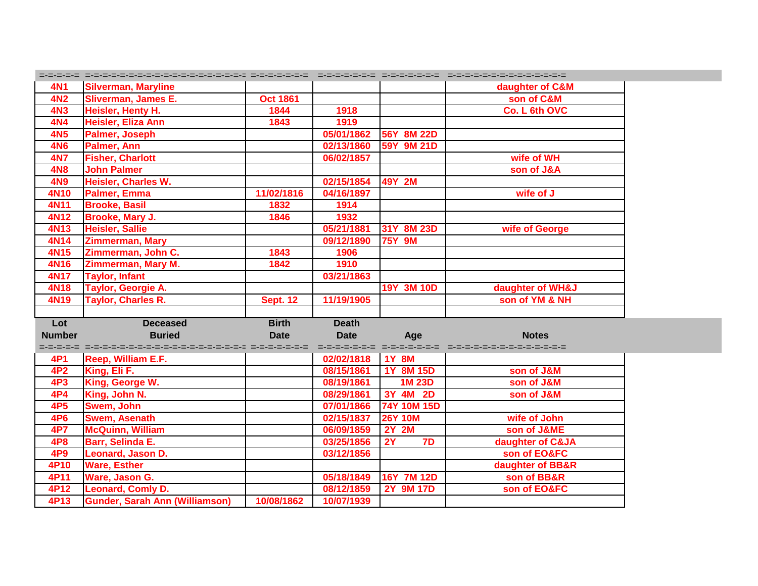| <b>4N1</b>      | <b>Silverman, Maryline</b>                                          |                 |                          |                  | daughter of C&M  |
|-----------------|---------------------------------------------------------------------|-----------------|--------------------------|------------------|------------------|
| 4N <sub>2</sub> | <b>Sliverman, James E.</b>                                          | <b>Oct 1861</b> |                          |                  | son of C&M       |
| 4N3             | Heisler, Henty H.                                                   | 1844            | 1918                     |                  | Co. L 6th OVC    |
| 4N4             | Heisler, Eliza Ann                                                  | 1843            | 1919                     |                  |                  |
| <b>4N5</b>      | Palmer, Joseph                                                      |                 | 05/01/1862               | 56Y 8M 22D       |                  |
| <b>4N6</b>      | Palmer, Ann                                                         |                 | 02/13/1860               | 59Y 9M 21D       |                  |
| <b>4N7</b>      | <b>Fisher, Charlott</b>                                             |                 | 06/02/1857               |                  | wife of WH       |
| <b>4N8</b>      | <b>John Palmer</b>                                                  |                 |                          |                  | son of J&A       |
| <b>4N9</b>      | <b>Heisler, Charles W.</b>                                          |                 | 02/15/1854               | 49Y 2M           |                  |
| 4N10            | Palmer, Emma                                                        | 11/02/1816      | 04/16/1897               |                  | wife of J        |
| <b>4N11</b>     | <b>Brooke, Basil</b>                                                | 1832            | 1914                     |                  |                  |
| <b>4N12</b>     | Brooke, Mary J.                                                     | 1846            | 1932                     |                  |                  |
| <b>4N13</b>     | <b>Heisler, Sallie</b>                                              |                 | 05/21/1881               | 31Y 8M 23D       | wife of George   |
| 4N14            | <b>Zimmerman, Mary</b>                                              |                 | 09/12/1890               | <b>75Y 9M</b>    |                  |
| 4N15            | Zimmerman, John C.                                                  | 1843            | 1906                     |                  |                  |
| 4N16            | <b>Zimmerman, Mary M.</b>                                           | 1842            | 1910                     |                  |                  |
| 4N17            | <b>Taylor, Infant</b>                                               |                 | 03/21/1863               |                  |                  |
| <b>4N18</b>     | Taylor, Georgie A.                                                  |                 |                          | 19Y 3M 10D       | daughter of WH&J |
| 4N19            | <b>Taylor, Charles R.</b>                                           | <b>Sept. 12</b> | 11/19/1905               |                  | son of YM & NH   |
|                 |                                                                     |                 |                          |                  |                  |
|                 |                                                                     |                 |                          |                  |                  |
| Lot             | <b>Deceased</b>                                                     | <b>Birth</b>    | <b>Death</b>             |                  |                  |
| <b>Number</b>   | <b>Buried</b>                                                       | <b>Date</b>     | <b>Date</b>              | Age              | <b>Notes</b>     |
|                 | stranst stransporter-entrepretations-entrepretations-entrepretation |                 |                          |                  |                  |
| 4P1             | <b>Reep, William E.F.</b>                                           |                 | 02/02/1818               | <b>1Y 8M</b>     |                  |
| 4P <sub>2</sub> | King, Eli F.                                                        |                 | 08/15/1861               | 1Y 8M 15D        | son of J&M       |
| 4P3             | King, George W.                                                     |                 | 08/19/1861               | 1M 23D           | son of J&M       |
| 4P4             | King, John N.                                                       |                 | 08/29/1861               | 3Y 4M 2D         | son of J&M       |
| 4P <sub>5</sub> | Swem, John                                                          |                 | 07/01/1866               | 74Y 10M 15D      |                  |
| 4P6             | Swem, Asenath                                                       |                 | 02/15/1837               | <b>26Y 10M</b>   | wife of John     |
| 4P7             | <b>McQuinn, William</b>                                             |                 | 06/09/1859               | <b>2Y 2M</b>     | son of J&ME      |
| <b>4P8</b>      | <b>Barr, Selinda E.</b>                                             |                 | 03/25/1856               | 7D<br>2Y         | daughter of C&JA |
| 4P9             | Leonard, Jason D.                                                   |                 | 03/12/1856               |                  | son of EO&FC     |
| 4P10            | <b>Ware, Esther</b>                                                 |                 |                          |                  | daughter of BB&R |
| 4P11            | Ware, Jason G.                                                      |                 | 05/18/1849               | 16Y 7M 12D       | son of BB&R      |
| 4P12<br>4P13    | Leonard, Comly D.<br><b>Gunder, Sarah Ann (Williamson)</b>          | 10/08/1862      | 08/12/1859<br>10/07/1939 | <b>2Y 9M 17D</b> | son of EO&FC     |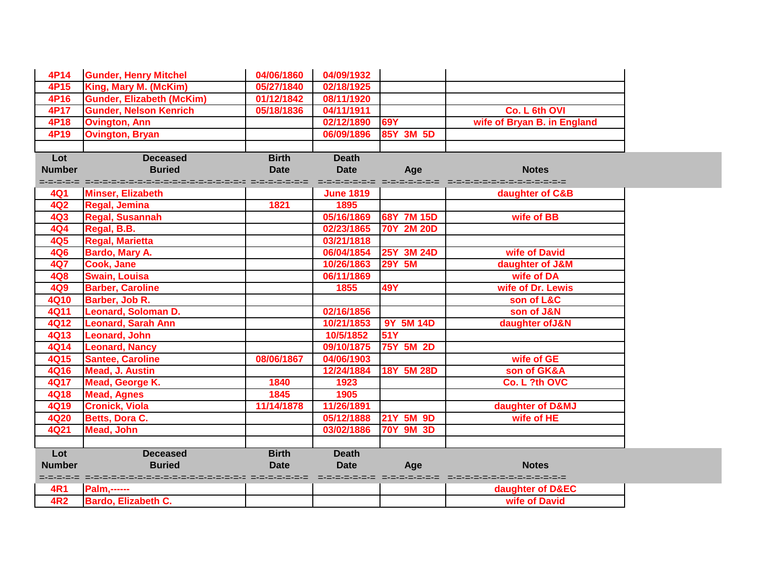| 4P14          | <b>Gunder, Henry Mitchel</b>                                | 04/06/1860   | 04/09/1932       |                  |                                                          |
|---------------|-------------------------------------------------------------|--------------|------------------|------------------|----------------------------------------------------------|
| 4P15          | King, Mary M. (McKim)                                       | 05/27/1840   | 02/18/1925       |                  |                                                          |
| 4P16          | <b>Gunder, Elizabeth (McKim)</b>                            | 01/12/1842   | 08/11/1920       |                  |                                                          |
| 4P17          | <b>Gunder, Nelson Kenrich</b>                               | 05/18/1836   | 04/11/1911       |                  | Co. L 6th OVI                                            |
| 4P18          | <b>Ovington, Ann</b>                                        |              | 02/12/1890       | <b>69Y</b>       | wife of Bryan B. in England                              |
| 4P19          | <b>Ovington, Bryan</b>                                      |              | 06/09/1896       | 85Y 3M 5D        |                                                          |
|               |                                                             |              |                  |                  |                                                          |
| Lot           | <b>Deceased</b>                                             | <b>Birth</b> | <b>Death</b>     |                  |                                                          |
| <b>Number</b> | <b>Buried</b>                                               | <b>Date</b>  | <b>Date</b>      | Age              | <b>Notes</b>                                             |
|               | stranst stransporting and stranger stranger in the stranger |              |                  |                  | stratorios de constructo de constructorios de constructo |
| 4Q1           | <b>Minser, Elizabeth</b>                                    |              | <b>June 1819</b> |                  | daughter of C&B                                          |
| 4Q2           | Regal, Jemina                                               | 1821         | 1895             |                  |                                                          |
| <b>4Q3</b>    | <b>Regal, Susannah</b>                                      |              | 05/16/1869       | 68Y 7M 15D       | wife of BB                                               |
| 4Q4           | Regal, B.B.                                                 |              | 02/23/1865       | 70Y 2M 20D       |                                                          |
| <b>4Q5</b>    | <b>Regal, Marietta</b>                                      |              | 03/21/1818       |                  |                                                          |
| <b>4Q6</b>    | Bardo, Mary A.                                              |              | 06/04/1854       | 25Y 3M 24D       | wife of David                                            |
| <b>4Q7</b>    | Cook, Jane                                                  |              | 10/26/1863       | <b>29Y 5M</b>    | daughter of J&M                                          |
| <b>4Q8</b>    | <b>Swain, Louisa</b>                                        |              | 06/11/1869       |                  | wife of DA                                               |
| 4Q9           | <b>Barber, Caroline</b>                                     |              | 1855             | <b>49Y</b>       | wife of Dr. Lewis                                        |
| <b>4Q10</b>   | Barber, Job R.                                              |              |                  |                  | son of L&C                                               |
| <b>4Q11</b>   | <b>Leonard, Soloman D.</b>                                  |              | 02/16/1856       |                  | son of J&N                                               |
| 4Q12          | <b>Leonard, Sarah Ann</b>                                   |              | 10/21/1853       | 9Y 5M 14D        | daughter of J&N                                          |
| <b>4Q13</b>   | Leonard, John                                               |              | 10/5/1852        | 51Y              |                                                          |
| <b>4Q14</b>   | <b>Leonard, Nancy</b>                                       |              | 09/10/1875       | 75Y 5M 2D        |                                                          |
| 4Q15          | <b>Santee, Caroline</b>                                     | 08/06/1867   | 04/06/1903       |                  | wife of GE                                               |
| <b>4Q16</b>   | <b>Mead, J. Austin</b>                                      |              | 12/24/1884       | 18Y 5M 28D       | son of GK&A                                              |
| <b>4Q17</b>   | Mead, George K.                                             | 1840         | 1923             |                  | Co. L ?th OVC                                            |
| <b>4Q18</b>   | <b>Mead, Agnes</b>                                          | 1845         | 1905             |                  |                                                          |
| <b>4Q19</b>   | <b>Cronick, Viola</b>                                       | 11/14/1878   | 11/26/1891       |                  | daughter of D&MJ                                         |
| <b>4Q20</b>   | <b>Betts, Dora C.</b>                                       |              | 05/12/1888       | 21Y 5M 9D        | wife of HE                                               |
| <b>4Q21</b>   | <b>Mead, John</b>                                           |              | 03/02/1886       | <b>70Y 9M 3D</b> |                                                          |
|               |                                                             |              |                  |                  |                                                          |
| Lot           | <b>Deceased</b>                                             | <b>Birth</b> | <b>Death</b>     |                  |                                                          |
| <b>Number</b> | <b>Buried</b>                                               | <b>Date</b>  | <b>Date</b>      | Age              | <b>Notes</b>                                             |
|               | species serves-terre-serve-serve-serve-serve-serve-serve-   |              |                  |                  | orororororo o crominino di crominino di crominino di     |
| 4R1           | <b>Palm,------</b>                                          |              |                  |                  | daughter of D&EC                                         |
| 4R2           | <b>Bardo, Elizabeth C.</b>                                  |              |                  |                  | wife of David                                            |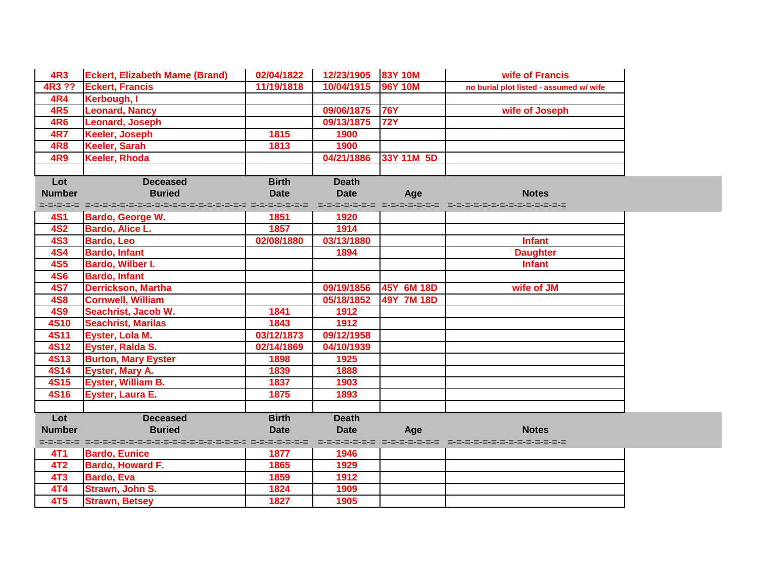| <b>4R3</b>      | <b>Eckert, Elizabeth Mame (Brand)</b>                                     | 02/04/1822    | 12/23/1905 83Y 10M |                         | wife of Francis                         |  |
|-----------------|---------------------------------------------------------------------------|---------------|--------------------|-------------------------|-----------------------------------------|--|
| 4R3 ??          | <b>Eckert, Francis</b>                                                    | 11/19/1818    | 10/04/1915         | <b>96Y 10M</b>          | no burial plot listed - assumed w/ wife |  |
| <b>4R4</b>      | Kerbough, I                                                               |               |                    |                         |                                         |  |
| <b>4R5</b>      | <b>Leonard, Nancy</b>                                                     |               | 09/06/1875         | <b>76Y</b>              | wife of Joseph                          |  |
| 4R6             | Leonard, Joseph                                                           |               | 09/13/1875         | <b>72Y</b>              |                                         |  |
| <b>4R7</b>      | <b>Keeler, Joseph</b>                                                     | 1815          | 1900               |                         |                                         |  |
| <b>4R8</b>      | Keeler, Sarah                                                             | $1813$        | 1900               |                         |                                         |  |
| <b>4R9</b>      | Keeler, Rhoda                                                             |               | 04/21/1886         | 33Y 11M 5D              |                                         |  |
|                 |                                                                           |               |                    |                         |                                         |  |
| Lot             | <b>Deceased</b>                                                           | <b>Birth</b>  | <b>Death</b>       |                         |                                         |  |
| <b>Number</b>   | <b>Buried</b>                                                             | <b>Date</b>   | <b>Date</b>        | Age                     | <b>Notes</b>                            |  |
|                 | stelen die stellen bestellten der Stellen bestellten der Stellen bestellt |               |                    |                         |                                         |  |
| <b>4S1</b>      | <b>Bardo, George W.</b>                                                   | 1851          | 1920               |                         |                                         |  |
| <b>4S2</b>      | <b>Bardo, Alice L.</b>                                                    | 1857          | 1914               |                         |                                         |  |
| <b>4S3</b>      | <b>Bardo, Leo</b>                                                         | 02/08/1880    | 03/13/1880         |                         | <b>Infant</b>                           |  |
| <b>4S4</b>      | <b>Bardo, Infant</b>                                                      |               | 1894               |                         | <b>Daughter</b>                         |  |
| <b>4S5</b>      | Bardo, Wilber I.                                                          |               |                    |                         | <b>Infant</b>                           |  |
| <b>4S6</b>      | <b>Bardo, Infant</b>                                                      |               |                    |                         |                                         |  |
| <b>4S7</b>      | <b>Derrickson, Martha</b>                                                 |               | 09/19/1856         | 45Y 6M 18D              | wife of JM                              |  |
| <b>4S8</b>      | <b>Cornwell, William</b>                                                  |               | 05/18/1852         | 49Y 7M 18D              |                                         |  |
| <b>4S9</b>      | Seachrist, Jacob W.                                                       | 1841          | 1912               |                         |                                         |  |
| <b>4S10</b>     | <b>Seachrist, Marilas</b>                                                 | 1843          | 1912               |                         |                                         |  |
| <b>4S11</b>     | Eyster, Lola M.                                                           | 03/12/1873    | 09/12/1958         |                         |                                         |  |
| <b>4S12</b>     | Eyster, Ralda S.                                                          | 02/14/1869    | 04/10/1939         |                         |                                         |  |
| <b>4S13</b>     | <b>Burton, Mary Eyster</b>                                                | 1898          | 1925               |                         |                                         |  |
| <b>4S14</b>     | <b>Eyster, Mary A.</b>                                                    | 1839          | 1888               |                         |                                         |  |
| <b>4S15</b>     | Eyster, William B.                                                        | 1837          | 1903               |                         |                                         |  |
| <b>4S16</b>     | Eyster, Laura E.                                                          | 1875          | 1893               |                         |                                         |  |
|                 |                                                                           |               |                    |                         |                                         |  |
| Lot             | <b>Deceased</b>                                                           | <b>Birth</b>  | <b>Death</b>       |                         |                                         |  |
| <b>Number</b>   | <b>Buried</b>                                                             | <b>Date</b>   | <b>Date</b>        | Age                     | <b>Notes</b>                            |  |
|                 |                                                                           | =-=-=-=-=-=-= |                    | desendences desendences |                                         |  |
| 4T1             | <b>Bardo, Eunice</b>                                                      | 1877          | 1946               |                         |                                         |  |
| 4T <sub>2</sub> | <b>Bardo, Howard F.</b>                                                   | 1865          | 1929               |                         |                                         |  |
| 4T <sub>3</sub> | <b>Bardo, Eva</b>                                                         | 1859          | 1912               |                         |                                         |  |
| 4T4             | Strawn, John S.                                                           | 1824          | 1909               |                         |                                         |  |
| 4T <sub>5</sub> | <b>Strawn, Betsey</b>                                                     | 1827          | 1905               |                         |                                         |  |